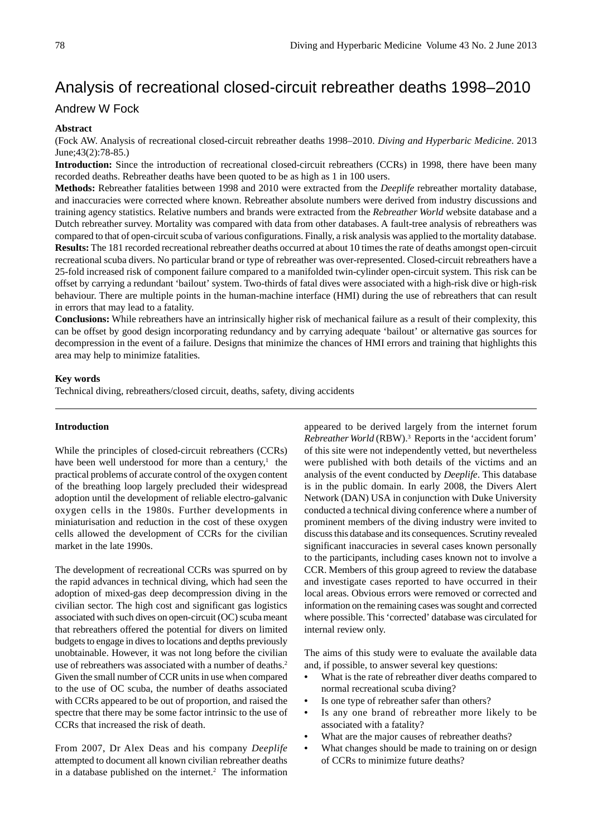# Analysis of recreational closed-circuit rebreather deaths 1998–2010

## Andrew W Fock

## **Abstract**

(Fock AW. Analysis of recreational closed-circuit rebreather deaths 1998–2010. *Diving and Hyperbaric Medicine*. 2013 June;43(2):78-85.)

**Introduction:** Since the introduction of recreational closed-circuit rebreathers (CCRs) in 1998, there have been many recorded deaths. Rebreather deaths have been quoted to be as high as 1 in 100 users.

**Methods:** Rebreather fatalities between 1998 and 2010 were extracted from the *Deeplife* rebreather mortality database, and inaccuracies were corrected where known. Rebreather absolute numbers were derived from industry discussions and training agency statistics. Relative numbers and brands were extracted from the *Rebreather World* website database and a Dutch rebreather survey. Mortality was compared with data from other databases. A fault-tree analysis of rebreathers was compared to that of open-circuit scuba of various configurations. Finally, a risk analysis was applied to the mortality database. **Results:** The 181 recorded recreational rebreather deaths occurred at about 10 times the rate of deaths amongst open-circuit recreational scuba divers. No particular brand or type of rebreather was over-represented. Closed-circuit rebreathers have a 25-fold increased risk of component failure compared to a manifolded twin-cylinder open-circuit system. This risk can be offset by carrying a redundant 'bailout' system. Two-thirds of fatal dives were associated with a high-risk dive or high-risk behaviour. There are multiple points in the human-machine interface (HMI) during the use of rebreathers that can result in errors that may lead to a fatality.

**Conclusions:** While rebreathers have an intrinsically higher risk of mechanical failure as a result of their complexity, this can be offset by good design incorporating redundancy and by carrying adequate 'bailout' or alternative gas sources for decompression in the event of a failure. Designs that minimize the chances of HMI errors and training that highlights this area may help to minimize fatalities.

### **Key words**

Technical diving, rebreathers/closed circuit, deaths, safety, diving accidents

## **Introduction**

While the principles of closed-circuit rebreathers (CCRs) have been well understood for more than a century,<sup>1</sup> the practical problems of accurate control of the oxygen content of the breathing loop largely precluded their widespread adoption until the development of reliable electro-galvanic oxygen cells in the 1980s. Further developments in miniaturisation and reduction in the cost of these oxygen cells allowed the development of CCRs for the civilian market in the late 1990s.

The development of recreational CCRs was spurred on by the rapid advances in technical diving, which had seen the adoption of mixed-gas deep decompression diving in the civilian sector. The high cost and significant gas logistics associated with such dives on open-circuit (OC) scuba meant that rebreathers offered the potential for divers on limited budgets to engage in dives to locations and depths previously unobtainable. However, it was not long before the civilian use of rebreathers was associated with a number of deaths.<sup>2</sup> Given the small number of CCR units in use when compared to the use of OC scuba, the number of deaths associated with CCRs appeared to be out of proportion, and raised the spectre that there may be some factor intrinsic to the use of CCRs that increased the risk of death.

From 2007, Dr Alex Deas and his company *Deeplife* attempted to document all known civilian rebreather deaths in a database published on the internet.<sup>2</sup> The information appeared to be derived largely from the internet forum *Rebreather World* (RBW).3 Reports in the 'accident forum' of this site were not independently vetted, but nevertheless were published with both details of the victims and an analysis of the event conducted by *Deeplife*. This database is in the public domain. In early 2008, the Divers Alert Network (DAN) USA in conjunction with Duke University conducted a technical diving conference where a number of prominent members of the diving industry were invited to discuss this database and its consequences. Scrutiny revealed significant inaccuracies in several cases known personally to the participants, including cases known not to involve a CCR. Members of this group agreed to review the database and investigate cases reported to have occurred in their local areas. Obvious errors were removed or corrected and information on the remaining cases was sought and corrected where possible. This 'corrected' database was circulated for internal review only.

The aims of this study were to evaluate the available data and, if possible, to answer several key questions:

- What is the rate of rebreather diver deaths compared to normal recreational scuba diving?
- Is one type of rebreather safer than others?
- Is any one brand of rebreather more likely to be associated with a fatality?
- What are the major causes of rebreather deaths?
- What changes should be made to training on or design of CCRs to minimize future deaths?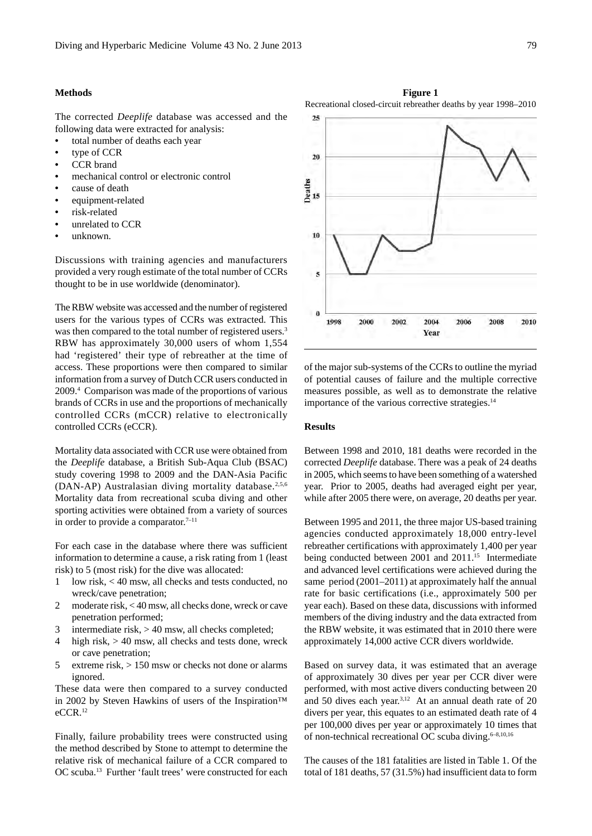## **Methods**

The corrected *Deeplife* database was accessed and the following data were extracted for analysis:

- • total number of deaths each year
- type of CCR
- CCR brand
- mechanical control or electronic control
- cause of death
- equipment-related
- risk-related
- unrelated to CCR
- unknown.

Discussions with training agencies and manufacturers provided a very rough estimate of the total number of CCRs thought to be in use worldwide (denominator).

The RBW website was accessed and the number of registered users for the various types of CCRs was extracted. This was then compared to the total number of registered users.<sup>3</sup> RBW has approximately 30,000 users of whom 1,554 had 'registered' their type of rebreather at the time of access. These proportions were then compared to similar information from a survey of Dutch CCR users conducted in 2009.4 Comparison was made of the proportions of various brands of CCRs in use and the proportions of mechanically controlled CCRs (mCCR) relative to electronically controlled CCRs (eCCR).

Mortality data associated with CCR use were obtained from the *Deeplife* database, a British Sub-Aqua Club (BSAC) study covering 1998 to 2009 and the DAN-Asia Pacific (DAN-AP) Australasian diving mortality database.<sup>2,5,6</sup> Mortality data from recreational scuba diving and other sporting activities were obtained from a variety of sources in order to provide a comparator.<sup>7-11</sup>

For each case in the database where there was sufficient information to determine a cause, a risk rating from 1 (least risk) to 5 (most risk) for the dive was allocated:

- 1 low risk, < 40 msw, all checks and tests conducted, no wreck/cave penetration;
- 2 moderate risk, < 40 msw, all checks done, wreck or cave penetration performed;
- 3 intermediate risk, > 40 msw, all checks completed;
- 4 high risk, > 40 msw, all checks and tests done, wreck or cave penetration;
- 5 extreme risk, > 150 msw or checks not done or alarms ignored.

These data were then compared to a survey conducted in 2002 by Steven Hawkins of users of the Inspiration™ eCCR.12

Finally, failure probability trees were constructed using the method described by Stone to attempt to determine the relative risk of mechanical failure of a CCR compared to OC scuba.13 Further 'fault trees' were constructed for each

of the major sub-systems of the CCRs to outline the myriad of potential causes of failure and the multiple corrective measures possible, as well as to demonstrate the relative importance of the various corrective strategies.<sup>14</sup>

#### **Results**

Between 1998 and 2010, 181 deaths were recorded in the corrected *Deeplife* database. There was a peak of 24 deaths in 2005, which seems to have been something of a watershed year. Prior to 2005, deaths had averaged eight per year, while after 2005 there were, on average, 20 deaths per year.

Between 1995 and 2011, the three major US-based training agencies conducted approximately 18,000 entry-level rebreather certifications with approximately 1,400 per year being conducted between 2001 and 2011.<sup>15</sup> Intermediate and advanced level certifications were achieved during the same period (2001–2011) at approximately half the annual rate for basic certifications (i.e., approximately 500 per year each). Based on these data, discussions with informed members of the diving industry and the data extracted from the RBW website, it was estimated that in 2010 there were approximately 14,000 active CCR divers worldwide.

Based on survey data, it was estimated that an average of approximately 30 dives per year per CCR diver were performed, with most active divers conducting between 20 and 50 dives each year.<sup>3,12</sup> At an annual death rate of 20 divers per year, this equates to an estimated death rate of 4 per 100,000 dives per year or approximately 10 times that of non-technical recreational OC scuba diving.<sup>6-8,10,16</sup>

The causes of the 181 fatalities are listed in Table 1. Of the total of 181 deaths, 57 (31.5%) had insufficient data to form



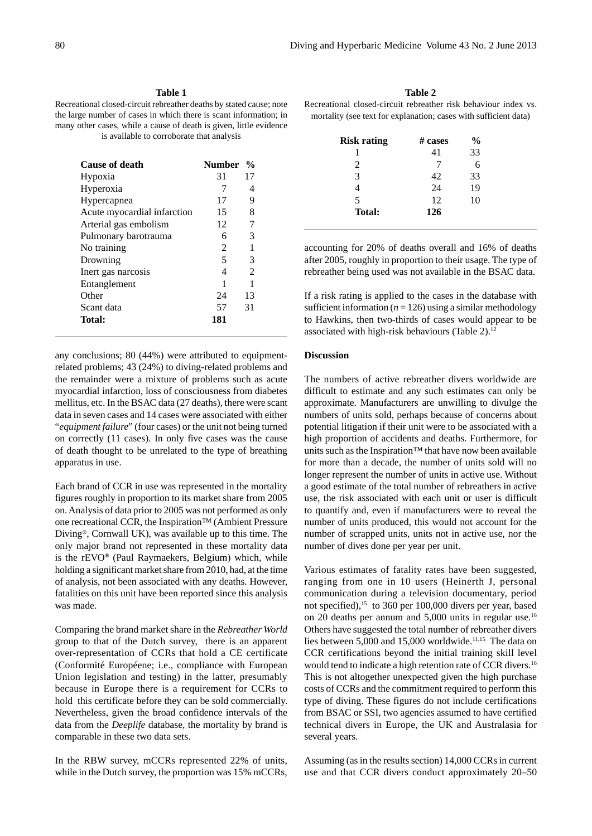## **Table 1**

Recreational closed-circuit rebreather deaths by stated cause; note the large number of cases in which there is scant information; in many other cases, while a cause of death is given, little evidence is available to corroborate that analysis

| <b>Cause of death</b>       | <b>Number</b>  | $\frac{0}{0}$  |
|-----------------------------|----------------|----------------|
| Hypoxia                     | 31             | 17             |
| Hyperoxia                   | 7              | 4              |
| Hypercapnea                 | 17             | 9              |
| Acute myocardial infarction | 15             | 8              |
| Arterial gas embolism       | 12             | 7              |
| Pulmonary barotrauma        | 6              | 3              |
| No training                 | $\mathfrak{D}$ | 1              |
| Drowning                    | 5              | 3              |
| Inert gas narcosis          | 4              | $\mathfrak{D}$ |
| Entanglement                |                |                |
| Other                       | 24             | 13             |
| Scant data                  | 57             | 31             |
| <b>Total:</b>               | 181            |                |

any conclusions; 80 (44%) were attributed to equipmentrelated problems; 43 (24%) to diving-related problems and the remainder were a mixture of problems such as acute myocardial infarction, loss of consciousness from diabetes mellitus, etc. In the BSAC data (27 deaths), there were scant data in seven cases and 14 cases were associated with either "*equipment failure*" (four cases) or the unit not being turned on correctly (11 cases). In only five cases was the cause of death thought to be unrelated to the type of breathing apparatus in use.

Each brand of CCR in use was represented in the mortality figures roughly in proportion to its market share from 2005 on. Analysis of data prior to 2005 was not performed as only one recreational CCR, the Inspiration™ (Ambient Pressure Diving**®**, Cornwall UK), was available up to this time. The only major brand not represented in these mortality data is the rEVO**®** (Paul Raymaekers, Belgium) which, while holding a significant market share from 2010, had, at the time of analysis, not been associated with any deaths. However, fatalities on this unit have been reported since this analysis was made.

Comparing the brand market share in the *Rebreather World* group to that of the Dutch survey, there is an apparent over-representation of CCRs that hold a CE certificate (Conformité Européene; i.e., compliance with European Union legislation and testing) in the latter, presumably because in Europe there is a requirement for CCRs to hold this certificate before they can be sold commercially. Nevertheless, given the broad confidence intervals of the data from the *Deeplife* database, the mortality by brand is comparable in these two data sets.

In the RBW survey, mCCRs represented 22% of units, while in the Dutch survey, the proportion was 15% mCCRs,

**Table 2** Recreational closed-circuit rebreather risk behaviour index vs. mortality (see text for explanation; cases with sufficient data)

| <b>Risk rating</b> | $# \; \text{cases}$ | $\frac{6}{9}$ |
|--------------------|---------------------|---------------|
|                    | 41                  | 33            |
| $\mathfrak{D}$     |                     |               |
| 3                  | 42                  | 33            |
|                    | 24                  | 19            |
| 5                  | 12                  | 10            |
| <b>Total:</b>      | 126                 |               |
|                    |                     |               |

accounting for 20% of deaths overall and 16% of deaths after 2005, roughly in proportion to their usage. The type of rebreather being used was not available in the BSAC data.

If a risk rating is applied to the cases in the database with sufficient information  $(n = 126)$  using a similar methodology to Hawkins, then two-thirds of cases would appear to be associated with high-risk behaviours (Table 2). $12$ 

#### **Discussion**

The numbers of active rebreather divers worldwide are difficult to estimate and any such estimates can only be approximate. Manufacturers are unwilling to divulge the numbers of units sold, perhaps because of concerns about potential litigation if their unit were to be associated with a high proportion of accidents and deaths. Furthermore, for units such as the Inspiration™ that have now been available for more than a decade, the number of units sold will no longer represent the number of units in active use. Without a good estimate of the total number of rebreathers in active use, the risk associated with each unit or user is difficult to quantify and, even if manufacturers were to reveal the number of units produced, this would not account for the number of scrapped units, units not in active use, nor the number of dives done per year per unit.

Various estimates of fatality rates have been suggested, ranging from one in 10 users (Heinerth J, personal communication during a television documentary, period not specified),15 to 360 per 100,000 divers per year, based on 20 deaths per annum and 5,000 units in regular use.16 Others have suggested the total number of rebreather divers lies between 5,000 and 15,000 worldwide.<sup>11,15</sup> The data on CCR certifications beyond the initial training skill level would tend to indicate a high retention rate of CCR divers.<sup>16</sup> This is not altogether unexpected given the high purchase costs of CCRs and the commitment required to perform this type of diving. These figures do not include certifications from BSAC or SSI, two agencies assumed to have certified technical divers in Europe, the UK and Australasia for several years.

Assuming (as in the results section) 14,000 CCRs in current use and that CCR divers conduct approximately 20–50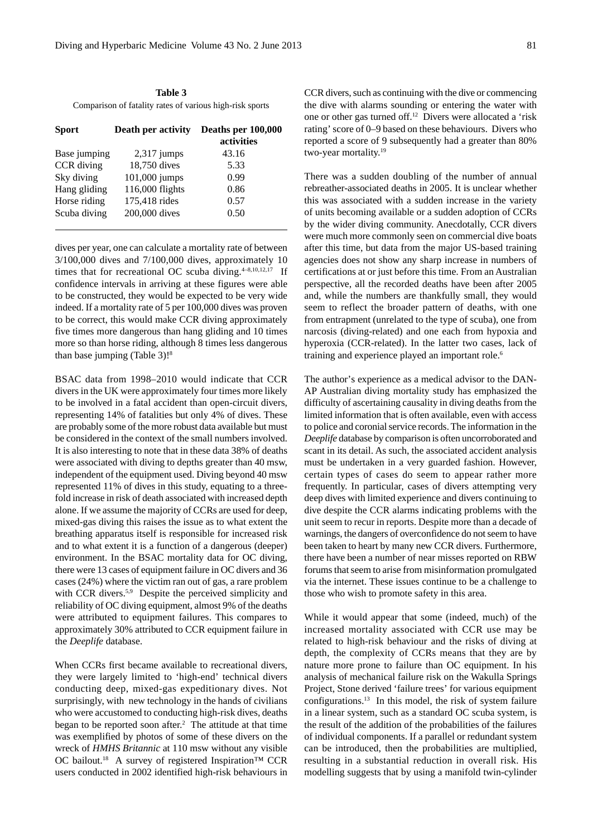**Table 3** Comparison of fatality rates of various high-risk sports

| <b>Sport</b> | Death per activity | Deaths per 100,000<br>activities |
|--------------|--------------------|----------------------------------|
| Base jumping | $2,317$ jumps      | 43.16                            |
| CCR diving   | 18,750 dives       | 5.33                             |
| Sky diving   | 101,000 jumps      | 0.99                             |
| Hang gliding | 116,000 flights    | 0.86                             |
| Horse riding | 175,418 rides      | 0.57                             |
| Scuba diving | 200,000 dives      | 0.50                             |

dives per year, one can calculate a mortality rate of between 3/100,000 dives and 7/100,000 dives, approximately 10 times that for recreational OC scuba diving. $4-8,10,12,17$  If confidence intervals in arriving at these figures were able to be constructed, they would be expected to be very wide indeed. If a mortality rate of 5 per 100,000 dives was proven to be correct, this would make CCR diving approximately five times more dangerous than hang gliding and 10 times more so than horse riding, although 8 times less dangerous than base jumping (Table 3)!8

BSAC data from 1998–2010 would indicate that CCR divers in the UK were approximately four times more likely to be involved in a fatal accident than open-circuit divers, representing 14% of fatalities but only 4% of dives. These are probably some of the more robust data available but must be considered in the context of the small numbers involved. It is also interesting to note that in these data 38% of deaths were associated with diving to depths greater than 40 msw, independent of the equipment used. Diving beyond 40 msw represented 11% of dives in this study, equating to a threefold increase in risk of death associated with increased depth alone. If we assume the majority of CCRs are used for deep, mixed-gas diving this raises the issue as to what extent the breathing apparatus itself is responsible for increased risk and to what extent it is a function of a dangerous (deeper) environment. In the BSAC mortality data for OC diving, there were 13 cases of equipment failure in OC divers and 36 cases (24%) where the victim ran out of gas, a rare problem with CCR divers.<sup>5,9</sup> Despite the perceived simplicity and reliability of OC diving equipment, almost 9% of the deaths were attributed to equipment failures. This compares to approximately 30% attributed to CCR equipment failure in the *Deeplife* database.

When CCRs first became available to recreational divers, they were largely limited to 'high-end' technical divers conducting deep, mixed-gas expeditionary dives. Not surprisingly, with new technology in the hands of civilians who were accustomed to conducting high-risk dives, deaths began to be reported soon after.<sup>2</sup> The attitude at that time was exemplified by photos of some of these divers on the wreck of *HMHS Britannic* at 110 msw without any visible OC bailout.18 A survey of registered Inspiration™ CCR users conducted in 2002 identified high-risk behaviours in

CCR divers, such as continuing with the dive or commencing the dive with alarms sounding or entering the water with one or other gas turned off.12 Divers were allocated a 'risk rating' score of 0–9 based on these behaviours. Divers who reported a score of 9 subsequently had a greater than 80% two-year mortality.19

There was a sudden doubling of the number of annual rebreather-associated deaths in 2005. It is unclear whether this was associated with a sudden increase in the variety of units becoming available or a sudden adoption of CCRs by the wider diving community. Anecdotally, CCR divers were much more commonly seen on commercial dive boats after this time, but data from the major US-based training agencies does not show any sharp increase in numbers of certifications at or just before this time. From an Australian perspective, all the recorded deaths have been after 2005 and, while the numbers are thankfully small, they would seem to reflect the broader pattern of deaths, with one from entrapment (unrelated to the type of scuba), one from narcosis (diving-related) and one each from hypoxia and hyperoxia (CCR-related). In the latter two cases, lack of training and experience played an important role.<sup>6</sup>

The author's experience as a medical advisor to the DAN-AP Australian diving mortality study has emphasized the difficulty of ascertaining causality in diving deaths from the limited information that is often available, even with access to police and coronial service records. The information in the *Deeplife* database by comparison is often uncorroborated and scant in its detail. As such, the associated accident analysis must be undertaken in a very guarded fashion. However, certain types of cases do seem to appear rather more frequently. In particular, cases of divers attempting very deep dives with limited experience and divers continuing to dive despite the CCR alarms indicating problems with the unit seem to recur in reports. Despite more than a decade of warnings, the dangers of overconfidence do not seem to have been taken to heart by many new CCR divers. Furthermore, there have been a number of near misses reported on RBW forums that seem to arise from misinformation promulgated via the internet. These issues continue to be a challenge to those who wish to promote safety in this area.

While it would appear that some (indeed, much) of the increased mortality associated with CCR use may be related to high-risk behaviour and the risks of diving at depth, the complexity of CCRs means that they are by nature more prone to failure than OC equipment. In his analysis of mechanical failure risk on the Wakulla Springs Project, Stone derived 'failure trees' for various equipment configurations.13 In this model, the risk of system failure in a linear system, such as a standard OC scuba system, is the result of the addition of the probabilities of the failures of individual components. If a parallel or redundant system can be introduced, then the probabilities are multiplied, resulting in a substantial reduction in overall risk. His modelling suggests that by using a manifold twin-cylinder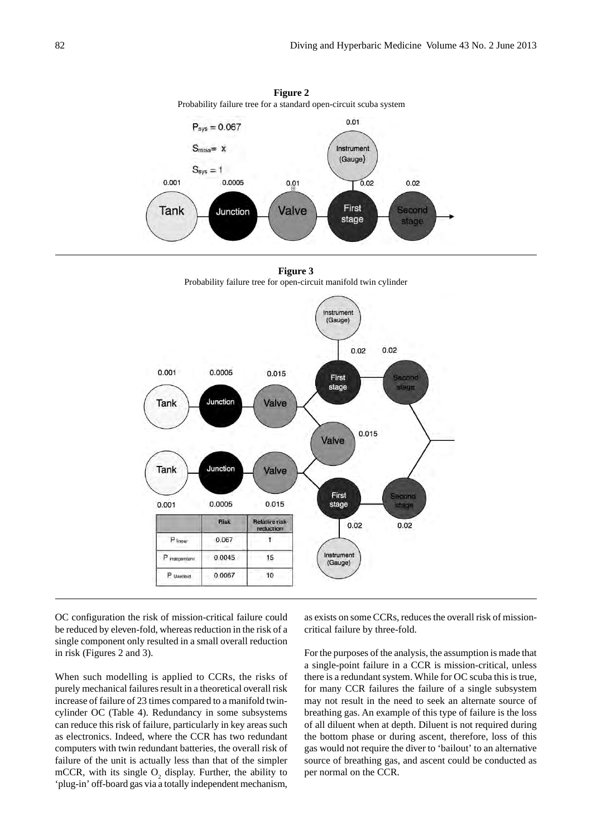

**Figure 2** Probability failure tree for a standard open-circuit scuba system

**Figure 3** Probability failure tree for open-circuit manifold twin cylinder



OC configuration the risk of mission-critical failure could be reduced by eleven-fold, whereas reduction in the risk of a single component only resulted in a small overall reduction in risk (Figures 2 and 3).

When such modelling is applied to CCRs, the risks of purely mechanical failures result in a theoretical overall risk increase of failure of 23 times compared to a manifold twincylinder OC (Table 4). Redundancy in some subsystems can reduce this risk of failure, particularly in key areas such as electronics. Indeed, where the CCR has two redundant computers with twin redundant batteries, the overall risk of failure of the unit is actually less than that of the simpler mCCR, with its single  $O_2$  display. Further, the ability to 'plug-in' off-board gas via a totally independent mechanism,

as exists on some CCRs, reduces the overall risk of missioncritical failure by three-fold.

For the purposes of the analysis, the assumption is made that a single-point failure in a CCR is mission-critical, unless there is a redundant system. While for OC scuba this is true, for many CCR failures the failure of a single subsystem may not result in the need to seek an alternate source of breathing gas. An example of this type of failure is the loss of all diluent when at depth. Diluent is not required during the bottom phase or during ascent, therefore, loss of this gas would not require the diver to 'bailout' to an alternative source of breathing gas, and ascent could be conducted as per normal on the CCR.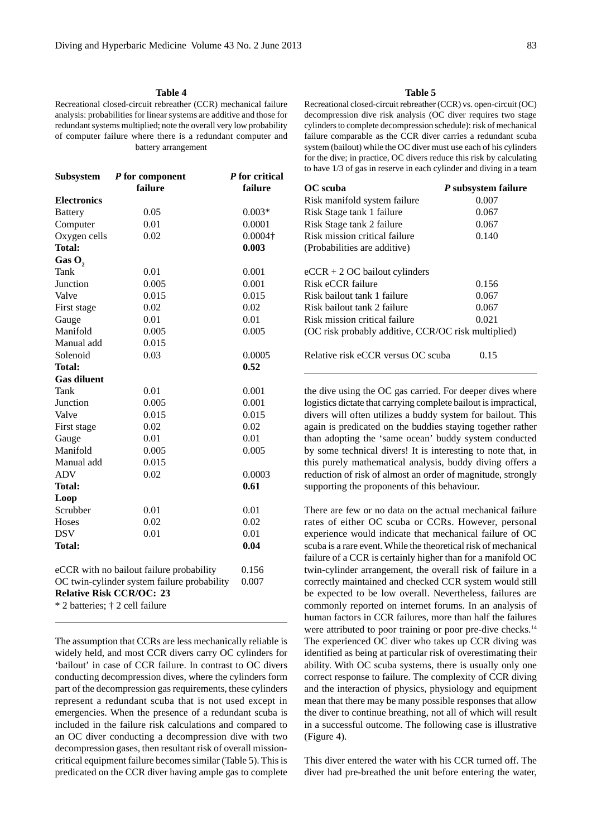## **Table 4**

Recreational closed-circuit rebreather (CCR) mechanical failure analysis: probabilities for linear systems are additive and those for redundant systems multiplied; note the overall very low probability of computer failure where there is a redundant computer and battery arrangement

| Subsystem          | P for component<br>failure | P for critical<br>failure |
|--------------------|----------------------------|---------------------------|
| <b>Electronics</b> |                            |                           |
| <b>Battery</b>     | 0.05                       | $0.003*$                  |
| Computer           | 0.01                       | 0.0001                    |
| Oxygen cells       | 0.02                       | $0.0004\dagger$           |
| <b>Total:</b>      |                            | 0.003                     |
| Gas O <sub>2</sub> |                            |                           |
| Tank               | 0.01                       | 0.001                     |
| Junction           | 0.005                      | 0.001                     |
| Valve              | 0.015                      | 0.015                     |
| First stage        | 0.02                       | 0.02                      |
| Gauge              | 0.01                       | 0.01                      |
| Manifold           | 0.005                      | 0.005                     |
| Manual add         | 0.015                      |                           |
| Solenoid           | 0.03                       | 0.0005                    |
| <b>Total:</b>      |                            | 0.52                      |
| <b>Gas diluent</b> |                            |                           |
| Tank               | 0.01                       | 0.001                     |
| Junction           | 0.005                      | 0.001                     |
| Valve              | 0.015                      | 0.015                     |
| First stage        | 0.02                       | 0.02                      |
| Gauge              | 0.01                       | 0.01                      |
| Manifold           | 0.005                      | 0.005                     |
| Manual add         | 0.015                      |                           |
| ADV                | 0.02                       | 0.0003                    |
| <b>Total:</b>      |                            | 0.61                      |
| Loop               |                            |                           |
| Scrubber           | 0.01                       | 0.01                      |
| Hoses              | 0.02                       | 0.02                      |
| <b>DSV</b>         | 0.01                       | 0.01                      |
| <b>Total:</b>      |                            | 0.04                      |
|                    |                            |                           |

eCCR with no bailout failure probability 0.156 OC twin-cylinder system failure probability 0.007 **Relative Risk CCR/OC: 23** \* 2 batteries; † 2 cell failure

The assumption that CCRs are less mechanically reliable is widely held, and most CCR divers carry OC cylinders for 'bailout' in case of CCR failure. In contrast to OC divers conducting decompression dives, where the cylinders form part of the decompression gas requirements, these cylinders represent a redundant scuba that is not used except in emergencies. When the presence of a redundant scuba is included in the failure risk calculations and compared to an OC diver conducting a decompression dive with two decompression gases, then resultant risk of overall missioncritical equipment failure becomes similar (Table 5). This is predicated on the CCR diver having ample gas to complete

## **Table 5**

Recreational closed-circuit rebreather (CCR) vs. open-circuit (OC) decompression dive risk analysis (OC diver requires two stage cylinders to complete decompression schedule): risk of mechanical failure comparable as the CCR diver carries a redundant scuba system (bailout) while the OC diver must use each of his cylinders for the dive; in practice, OC divers reduce this risk by calculating to have 1/3 of gas in reserve in each cylinder and diving in a team

| OC scuba                                            | P subsystem failure |
|-----------------------------------------------------|---------------------|
| Risk manifold system failure                        | 0.007               |
| Risk Stage tank 1 failure                           | 0.067               |
| Risk Stage tank 2 failure                           | 0.067               |
| Risk mission critical failure                       | 0.140               |
| (Probabilities are additive)                        |                     |
|                                                     |                     |
| $eCCR + 2 OC$ bailout cylinders                     |                     |
| Risk eCCR failure                                   | 0.156               |
| Risk bailout tank 1 failure                         | 0.067               |
| Risk bailout tank 2 failure                         | 0.067               |
| Risk mission critical failure                       | 0.021               |
| (OC risk probably additive, CCR/OC risk multiplied) |                     |
|                                                     |                     |
| Relative risk eCCR versus OC scuba                  | 0.15                |
|                                                     |                     |

the dive using the OC gas carried. For deeper dives where logistics dictate that carrying complete bailout is impractical, divers will often utilizes a buddy system for bailout. This again is predicated on the buddies staying together rather than adopting the 'same ocean' buddy system conducted by some technical divers! It is interesting to note that, in this purely mathematical analysis, buddy diving offers a reduction of risk of almost an order of magnitude, strongly supporting the proponents of this behaviour.

There are few or no data on the actual mechanical failure rates of either OC scuba or CCRs. However, personal experience would indicate that mechanical failure of OC scuba is a rare event. While the theoretical risk of mechanical failure of a CCR is certainly higher than for a manifold OC twin-cylinder arrangement, the overall risk of failure in a correctly maintained and checked CCR system would still be expected to be low overall. Nevertheless, failures are commonly reported on internet forums. In an analysis of human factors in CCR failures, more than half the failures were attributed to poor training or poor pre-dive checks.<sup>14</sup> The experienced OC diver who takes up CCR diving was identified as being at particular risk of overestimating their ability. With OC scuba systems, there is usually only one correct response to failure. The complexity of CCR diving and the interaction of physics, physiology and equipment mean that there may be many possible responses that allow the diver to continue breathing, not all of which will result in a successful outcome. The following case is illustrative (Figure 4).

This diver entered the water with his CCR turned off. The diver had pre-breathed the unit before entering the water,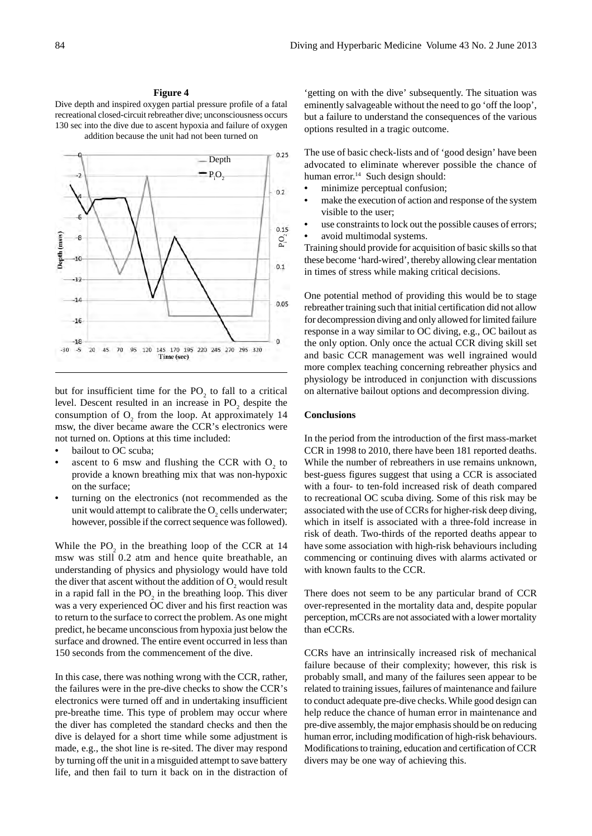## **Figure 4**

Dive depth and inspired oxygen partial pressure profile of a fatal recreational closed-circuit rebreather dive; unconsciousness occurs 130 sec into the dive due to ascent hypoxia and failure of oxygen addition because the unit had not been turned on



but for insufficient time for the  $PO_2$  to fall to a critical level. Descent resulted in an increase in  $PO_2$  despite the consumption of  $O_2$  from the loop. At approximately 14 msw, the diver became aware the CCR's electronics were not turned on. Options at this time included:

- bailout to OC scuba;
- ascent to 6 msw and flushing the CCR with  $O_2$  to provide a known breathing mix that was non-hypoxic on the surface;
- turning on the electronics (not recommended as the unit would attempt to calibrate the  $O_2$  cells underwater; however, possible if the correct sequence was followed).

While the  $PO_2$  in the breathing loop of the CCR at 14 msw was still 0.2 atm and hence quite breathable, an understanding of physics and physiology would have told the diver that ascent without the addition of  $O_2$  would result in a rapid fall in the  $PO_2$  in the breathing loop. This diver was a very experienced OC diver and his first reaction was to return to the surface to correct the problem. As one might predict, he became unconscious from hypoxia just below the surface and drowned. The entire event occurred in less than 150 seconds from the commencement of the dive.

In this case, there was nothing wrong with the CCR, rather, the failures were in the pre-dive checks to show the CCR's electronics were turned off and in undertaking insufficient pre-breathe time. This type of problem may occur where the diver has completed the standard checks and then the dive is delayed for a short time while some adjustment is made, e.g., the shot line is re-sited. The diver may respond by turning off the unit in a misguided attempt to save battery life, and then fail to turn it back on in the distraction of

'getting on with the dive' subsequently. The situation was eminently salvageable without the need to go 'off the loop', but a failure to understand the consequences of the various options resulted in a tragic outcome.

The use of basic check-lists and of 'good design' have been advocated to eliminate wherever possible the chance of human error.<sup>14</sup> Such design should:

- minimize perceptual confusion;
- make the execution of action and response of the system visible to the user;
- use constraints to lock out the possible causes of errors;
- avoid multimodal systems.

Training should provide for acquisition of basic skills so that these become 'hard-wired', thereby allowing clear mentation in times of stress while making critical decisions.

One potential method of providing this would be to stage rebreather training such that initial certification did not allow for decompression diving and only allowed for limited failure response in a way similar to OC diving, e.g., OC bailout as the only option. Only once the actual CCR diving skill set and basic CCR management was well ingrained would more complex teaching concerning rebreather physics and physiology be introduced in conjunction with discussions on alternative bailout options and decompression diving.

### **Conclusions**

In the period from the introduction of the first mass-market CCR in 1998 to 2010, there have been 181 reported deaths. While the number of rebreathers in use remains unknown, best-guess figures suggest that using a CCR is associated with a four- to ten-fold increased risk of death compared to recreational OC scuba diving. Some of this risk may be associated with the use of CCRs for higher-risk deep diving, which in itself is associated with a three-fold increase in risk of death. Two-thirds of the reported deaths appear to have some association with high-risk behaviours including commencing or continuing dives with alarms activated or with known faults to the CCR.

There does not seem to be any particular brand of CCR over-represented in the mortality data and, despite popular perception, mCCRs are not associated with a lower mortality than eCCRs.

CCRs have an intrinsically increased risk of mechanical failure because of their complexity; however, this risk is probably small, and many of the failures seen appear to be related to training issues, failures of maintenance and failure to conduct adequate pre-dive checks. While good design can help reduce the chance of human error in maintenance and pre-dive assembly, the major emphasis should be on reducing human error, including modification of high-risk behaviours. Modifications to training, education and certification of CCR divers may be one way of achieving this.